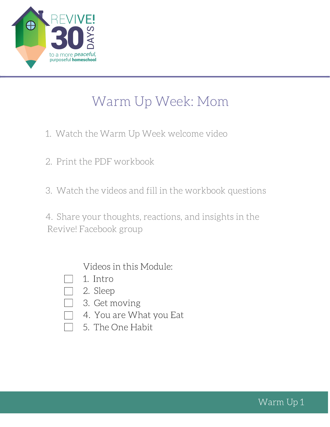

# Warm Up Week: Mom

- 1. Watch the Warm Up Week welcome video
- 2. Print the PDF workbook
- 3. Watch the videos and fill in the workbook questions

4. Share your thoughts, reactions, and insights in the Revive! Facebook group

Videos in this Module:

- 1. Intro
- 2. Sleep
- 3. Get moving
- 4. You are What you Eat
- 5. The One Habit

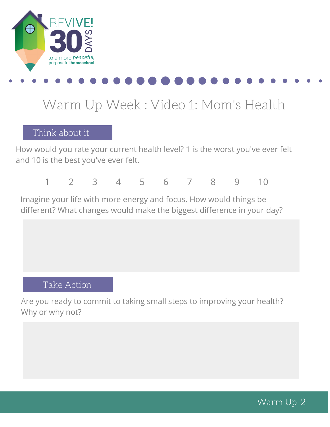

# Warm Up Week : Video 1: Mom's Health

#### Think about it

How would you rate your current health level? 1 is the worst you've ever felt and 10 is the best you've ever felt.

1 2 3 4 5 6 7 8 9 10

Imagine your life with more energy and focus. How would things be different? What changes would make the biggest difference in your day?

#### Take Action

Are you ready to commit to taking small steps to improving your health? Why or why not?

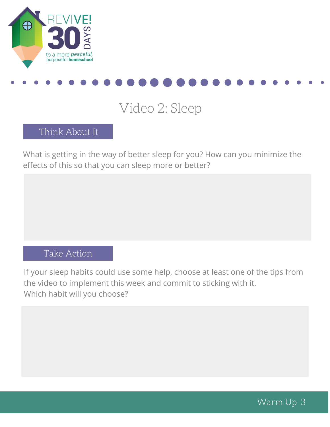



## Video 2: Sleep

#### Think About It

What is getting in the way of better sleep for you? How can you minimize the effects of this so that you can sleep more or better?

#### Take action Take Action

If your sleep habits could use some help, choose at least one of the tips from the video to implement this week and commit to sticking with it. Which habit will you choose?

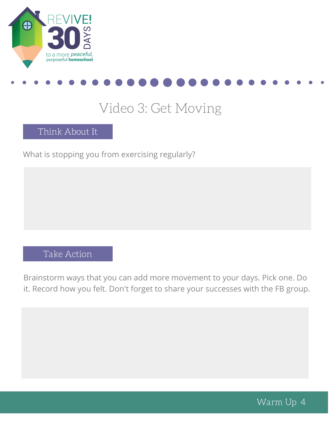



## Video 3: Get Moving

Think About It

What is stopping you from exercising regularly?

### Take Action

Brainstorm ways that you can add more movement to your days. Pick one. Do it. Record how you felt. Don't forget to share your successes with the FB group.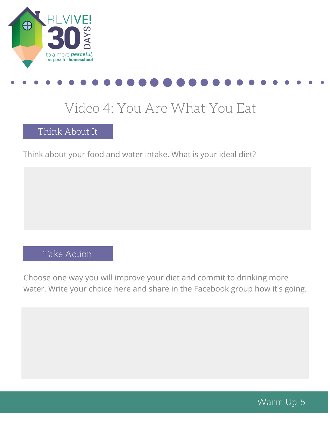

## Video 4: You Are What You Eat

Think About It

Think about your food and water intake. What is your ideal diet?

### Take Action

Choose one way you will improve your diet and commit to drinking more water. Write your choice here and share in the Facebook group how it's going.